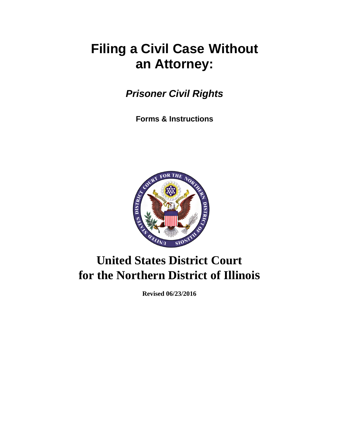# **Filing a Civil Case Without an Attorney:**

*Prisoner Civil Rights*

**Forms & Instructions**



# **United States District Court for the Northern District of Illinois**

**Revised 06/23/2016**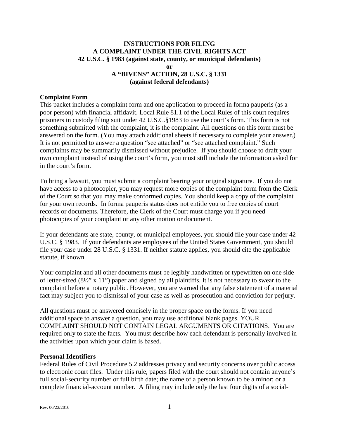#### **INSTRUCTIONS FOR FILING A COMPLAINT UNDER THE CIVIL RIGHTS ACT 42 U.S.C. § 1983 (against state, county, or municipal defendants) or A "BIVENS" ACTION, 28 U.S.C. § 1331**

#### **(against federal defendants)**

#### **Complaint Form**

This packet includes a complaint form and one application to proceed in forma pauperis (as a poor person) with financial affidavit. Local Rule 81.1 of the Local Rules of this court requires prisoners in custody filing suit under 42 U.S.C.§1983 to use the court's form. This form is not something submitted with the complaint, it is the complaint. All questions on this form must be answered on the form. (You may attach additional sheets if necessary to complete your answer.) It is not permitted to answer a question "see attached" or "see attached complaint." Such complaints may be summarily dismissed without prejudice. If you should choose to draft your own complaint instead of using the court's form, you must still include the information asked for in the court's form.

To bring a lawsuit, you must submit a complaint bearing your original signature. If you do not have access to a photocopier, you may request more copies of the complaint form from the Clerk of the Court so that you may make conformed copies. You should keep a copy of the complaint for your own records. In forma pauperis status does not entitle you to free copies of court records or documents. Therefore, the Clerk of the Court must charge you if you need photocopies of your complaint or any other motion or document.

If your defendants are state, county, or municipal employees, you should file your case under 42 U.S.C. § 1983. If your defendants are employees of the United States Government, you should file your case under 28 U.S.C. § 1331. If neither statute applies, you should cite the applicable statute, if known.

Your complaint and all other documents must be legibly handwritten or typewritten on one side of letter-sized (8½" x 11") paper and signed by all plaintiffs. It is not necessary to swear to the complaint before a notary public. However, you are warned that any false statement of a material fact may subject you to dismissal of your case as well as prosecution and conviction for perjury.

All questions must be answered concisely in the proper space on the forms. If you need additional space to answer a question, you may use additional blank pages. YOUR COMPLAINT SHOULD NOT CONTAIN LEGAL ARGUMENTS OR CITATIONS. You are required only to state the facts. You must describe how each defendant is personally involved in the activities upon which your claim is based.

#### **Personal Identifiers**

Federal Rules of Civil Procedure 5.2 addresses privacy and security concerns over public access to electronic court files. Under this rule, papers filed with the court should not contain anyone's full social-security number or full birth date; the name of a person known to be a minor; or a complete financial-account number. A filing may include only the last four digits of a social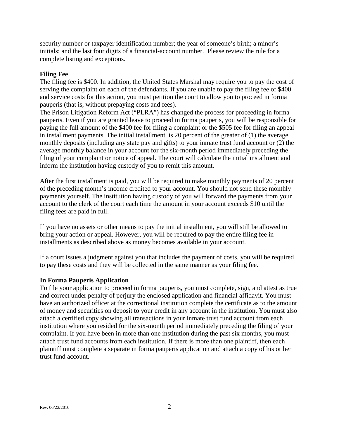security number or taxpayer identification number; the year of someone's birth; a minor's initials; and the last four digits of a financial-account number. Please review the rule for a complete listing and exceptions.

#### **Filing Fee**

The filing fee is \$400. In addition, the United States Marshal may require you to pay the cost of serving the complaint on each of the defendants. If you are unable to pay the filing fee of \$400 and service costs for this action, you must petition the court to allow you to proceed in forma pauperis (that is, without prepaying costs and fees).

The Prison Litigation Reform Act ("PLRA") has changed the process for proceeding in forma pauperis. Even if you are granted leave to proceed in forma pauperis, you will be responsible for paying the full amount of the \$400 fee for filing a complaint or the \$505 fee for filing an appeal in installment payments. The initial installment is 20 percent of the greater of (1) the average monthly deposits (including any state pay and gifts) to your inmate trust fund account or (2) the average monthly balance in your account for the six-month period immediately preceding the filing of your complaint or notice of appeal. The court will calculate the initial installment and inform the institution having custody of you to remit this amount.

After the first installment is paid, you will be required to make monthly payments of 20 percent of the preceding month's income credited to your account. You should not send these monthly payments yourself. The institution having custody of you will forward the payments from your account to the clerk of the court each time the amount in your account exceeds \$10 until the filing fees are paid in full.

If you have no assets or other means to pay the initial installment, you will still be allowed to bring your action or appeal. However, you will be required to pay the entire filing fee in installments as described above as money becomes available in your account.

If a court issues a judgment against you that includes the payment of costs, you will be required to pay these costs and they will be collected in the same manner as your filing fee.

#### **In Forma Pauperis Application**

To file your application to proceed in forma pauperis, you must complete, sign, and attest as true and correct under penalty of perjury the enclosed application and financial affidavit. You must have an authorized officer at the correctional institution complete the certificate as to the amount of money and securities on deposit to your credit in any account in the institution. You must also attach a certified copy showing all transactions in your inmate trust fund account from each institution where you resided for the six-month period immediately preceding the filing of your complaint. If you have been in more than one institution during the past six months, you must attach trust fund accounts from each institution. If there is more than one plaintiff, then each plaintiff must complete a separate in forma pauperis application and attach a copy of his or her trust fund account.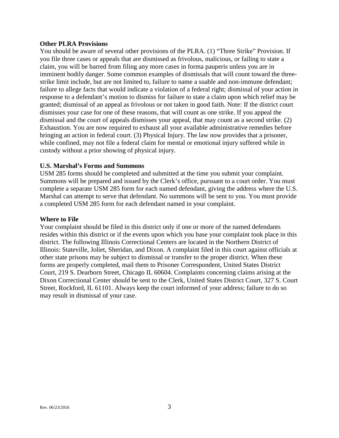#### **Other PLRA Provisions**

You should be aware of several other provisions of the PLRA. (1) "Three Strike" Provision. If you file three cases or appeals that are dismissed as frivolous, malicious, or failing to state a claim, you will be barred from filing any more cases in forma pauperis unless you are in imminent bodily danger. Some common examples of dismissals that will count toward the threestrike limit include, but are not limited to, failure to name a suable and non-immune defendant; failure to allege facts that would indicate a violation of a federal right; dismissal of your action in response to a defendant's motion to dismiss for failure to state a claim upon which relief may be granted; dismissal of an appeal as frivolous or not taken in good faith. Note: If the district court dismisses your case for one of these reasons, that will count as one strike. If you appeal the dismissal and the court of appeals dismisses your appeal, that may count as a second strike. (2) Exhaustion. You are now required to exhaust all your available administrative remedies before bringing an action in federal court. (3) Physical Injury. The law now provides that a prisoner, while confined, may not file a federal claim for mental or emotional injury suffered while in custody without a prior showing of physical injury.

#### **U.S. Marshal's Forms and Summons**

USM 285 forms should be completed and submitted at the time you submit your complaint. Summons will be prepared and issued by the Clerk's office, pursuant to a court order. You must complete a separate USM 285 form for each named defendant, giving the address where the U.S. Marshal can attempt to serve that defendant. No summons will be sent to you. You must provide a completed USM 285 form for each defendant named in your complaint.

#### **Where to File**

Your complaint should be filed in this district only if one or more of the named defendants resides within this district or if the events upon which you base your complaint took place in this district. The following Illinois Correctional Centers are located in the Northern District of Illinois: Stateville, Joliet, Sheridan, and Dixon. A complaint filed in this court against officials at other state prisons may be subject to dismissal or transfer to the proper district. When these forms are properly completed, mail them to Prisoner Correspondent, United States District Court, 219 S. Dearborn Street, Chicago IL 60604. Complaints concerning claims arising at the Dixon Correctional Center should be sent to the Clerk, United States District Court, 327 S. Court Street, Rockford, IL 61101. Always keep the court informed of your address; failure to do so may result in dismissal of your case.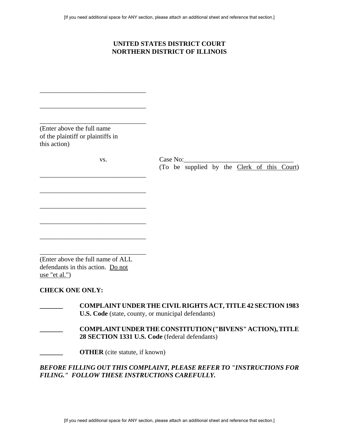## **UNITED STATES DISTRICT COURT NORTHERN DISTRICT OF ILLINOIS**

| (Enter above the full name)<br>of the plaintiff or plaintiffs in<br>this action)                                                |                                                         |  |  |  |
|---------------------------------------------------------------------------------------------------------------------------------|---------------------------------------------------------|--|--|--|
| VS.                                                                                                                             | Case No:<br>(To be supplied by the Clerk of this Court) |  |  |  |
|                                                                                                                                 |                                                         |  |  |  |
|                                                                                                                                 |                                                         |  |  |  |
|                                                                                                                                 |                                                         |  |  |  |
| (Enter above the full name of ALL)<br>defendants in this action. Do not<br>use "et al."                                         |                                                         |  |  |  |
| <b>CHECK ONE ONLY:</b>                                                                                                          |                                                         |  |  |  |
| <b>COMPLAINT UNDER THE CIVIL RIGHTS ACT, TITLE 42 SECTION 1983</b><br><b>U.S. Code</b> (state, county, or municipal defendants) |                                                         |  |  |  |
| <b>COMPLAINT UNDER THE CONSTITUTION ("BIVENS" ACTION), TITLE</b><br>28 SECTION 1331 U.S. Code (federal defendants)              |                                                         |  |  |  |
| <b>OTHER</b> (cite statute, if known)                                                                                           |                                                         |  |  |  |
| BEFORE FILLING OUT THIS COMPLAINT, PLEASE REFER TO "INSTRUCTIONS FOR<br>FILING." FOLLOW THESE INSTRUCTIONS CAREFULLY.           |                                                         |  |  |  |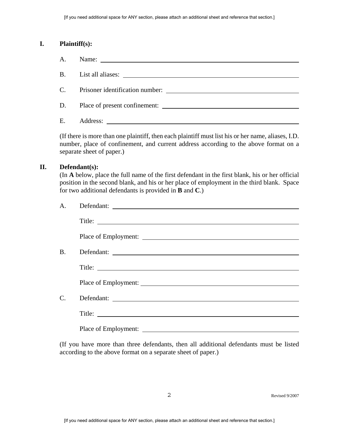#### **I. Plaintiff(s):**

| A.             |                                 |
|----------------|---------------------------------|
|                |                                 |
| C <sub>1</sub> | Prisoner identification number: |
| D.             | Place of present confinement:   |
| Ε.             | Address:                        |

(If there is more than one plaintiff, then each plaintiff must list his or her name, aliases, I.D. number, place of confinement, and current address according to the above format on a separate sheet of paper.)

#### **II. Defendant(s):**

(In **A** below, place the full name of the first defendant in the first blank, his or her official position in the second blank, and his or her place of employment in the third blank. Space for two additional defendants is provided in **B** and **C**.)

| А. | Defendant: |
|----|------------|
|    |            |
|    |            |
| Β. | Defendant: |
|    |            |
|    |            |
| C. | Defendant: |
|    |            |
|    |            |

(If you have more than three defendants, then all additional defendants must be listed according to the above format on a separate sheet of paper.)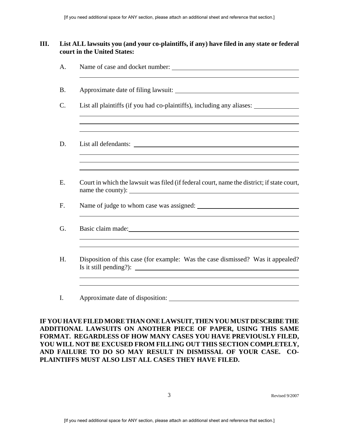## **III. List ALL lawsuits you (and your co-plaintiffs, if any) have filed in any state or federal court in the United States:**

| List all plaintiffs (if you had co-plaintiffs), including any aliases: __________<br>,我们也不会有什么。""我们的人,我们也不会有什么?""我们的人,我们也不会有什么?""我们的人,我们也不会有什么?""我们的人,我们也不会有什么?""我们的人                                                          |
|--------------------------------------------------------------------------------------------------------------------------------------------------------------------------------------------------------------------------------|
|                                                                                                                                                                                                                                |
| Court in which the lawsuit was filed (if federal court, name the district; if state court,                                                                                                                                     |
|                                                                                                                                                                                                                                |
| Basic claim made: 1000 material contract of the material contract of the material contract of the material contract of the material contract of the material contract of the material contract of the material contract of the |
| Disposition of this case (for example: Was the case dismissed? Was it appealed?<br>Is it still pending?): $\qquad \qquad$                                                                                                      |
| Approximate date of disposition:                                                                                                                                                                                               |

**IF YOU HAVE FILED MORE THAN ONE LAWSUIT, THEN YOU MUST DESCRIBE THE ADDITIONAL LAWSUITS ON ANOTHER PIECE OF PAPER, USING THIS SAME FORMAT. REGARDLESS OF HOW MANY CASES YOU HAVE PREVIOUSLY FILED, YOU WILL NOT BE EXCUSED FROM FILLING OUT THIS SECTION COMPLETELY, AND FAILURE TO DO SO MAY RESULT IN DISMISSAL OF YOUR CASE. CO-PLAINTIFFS MUST ALSO LIST ALL CASES THEY HAVE FILED.**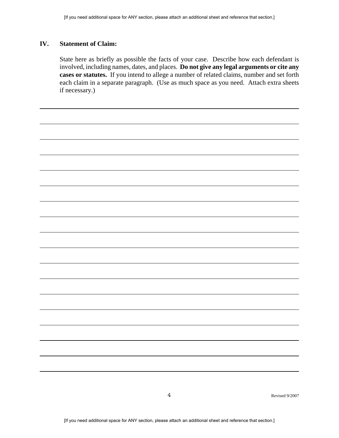#### **IV. Statement of Claim:**

State here as briefly as possible the facts of your case. Describe how each defendant is involved, including names, dates, and places. **Do not give any legal arguments or cite any cases or statutes.** If you intend to allege a number of related claims, number and set forth each claim in a separate paragraph. (Use as much space as you need. Attach extra sheets if necessary.)

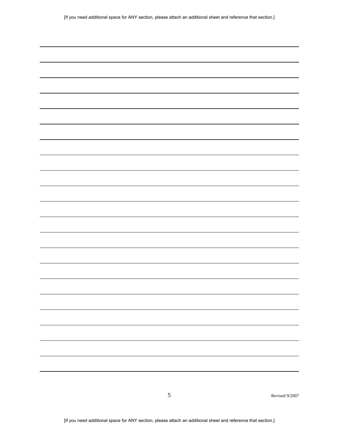|  |  |  | [If you need additional space for ANY section, please attach an additional sheet and reference that section.] |
|--|--|--|---------------------------------------------------------------------------------------------------------------|
|  |  |  |                                                                                                               |

 $\overline{\phantom{0}}$ 

L.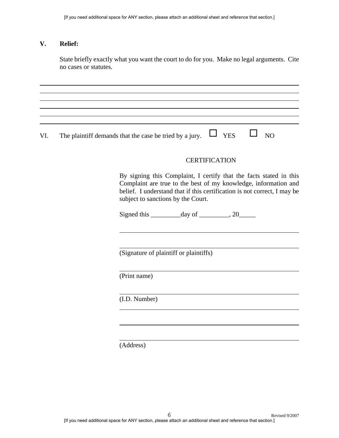#### **V. Relief:**

State briefly exactly what you want the court to do for you. Make no legal arguments. Cite no cases or statutes.

VI. The plaintiff demands that the case be tried by a jury.  $\Box$  YES  $\Box$  NO

#### **CERTIFICATION**

By signing this Complaint, I certify that the facts stated in this Complaint are true to the best of my knowledge, information and belief. I understand that if this certification is not correct, I may be subject to sanctions by the Court.

Signed this  $\_\_\_\_\_\_\$  day of  $\_\_\_\_\_\$  20

(Signature of plaintiff or plaintiffs)

(Print name)

(I.D. Number)

(Address)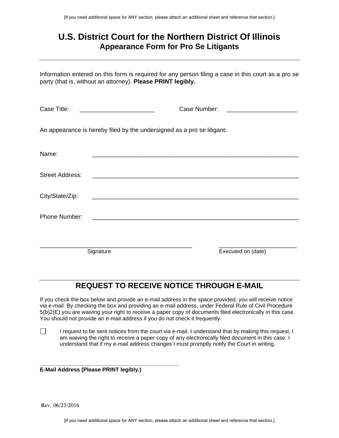# **U.S. District Court for the Northern District Of Illinois Appearance Form for Pro Se Litigants**

Information entered on this form is required for any person filing a case in this court as a pro se party (that is, without an attorney). **Please PRINT legibly.** 

| Case Title:            |                                                                        | Case Number: |                    |
|------------------------|------------------------------------------------------------------------|--------------|--------------------|
|                        | An appearance is hereby filed by the undersigned as a pro se litigant: |              |                    |
| Name:                  |                                                                        |              |                    |
| <b>Street Address:</b> |                                                                        |              |                    |
| City/State/Zip:        |                                                                        |              |                    |
| Phone Number:          |                                                                        |              |                    |
|                        |                                                                        |              |                    |
|                        | Signature                                                              |              | Executed on (date) |

# **REQUEST TO RECEIVE NOTICE THROUGH E-MAIL**

If you check the box below and provide an e-mail address in the space provided, you will receive notice via e-mail. By checking the box and providing an e-mail address, under Federal Rule of Civil Procedure 5(b)2(E) you are waiving your right to receive a paper copy of documents filed electronically in this case. You should not provide an e-mail address if you do not check it frequently.

П I request to be sent notices from the court via e-mail. I understand that by making this request, I am waiving the right to receive a paper copy of any electronically filed document in this case. I understand that if my e-mail address changes I must promptly notify the Court in writing.

**\_\_\_\_\_\_\_\_\_\_\_\_\_\_\_\_\_\_\_\_\_\_\_\_\_\_\_\_\_\_\_\_\_\_\_\_\_\_\_\_\_\_\_\_\_ E-Mail Address (Please PRINT legibly.)**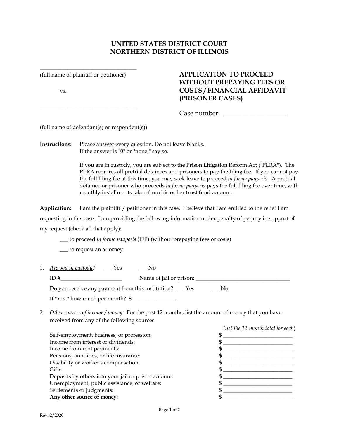## **UNITED STATES DISTRICT COURT NORTHERN DISTRICT OF ILLINOIS**

**\_\_\_\_\_\_\_\_\_\_\_\_\_\_\_\_\_\_\_\_\_\_\_\_\_\_\_\_\_\_\_\_\_\_\_**

**\_\_\_\_\_\_\_\_\_\_\_\_\_\_\_\_\_\_\_\_\_\_\_\_\_\_\_\_\_\_\_\_\_\_\_**

**\_\_\_\_\_\_\_\_\_\_\_\_\_\_\_\_\_\_\_\_\_\_\_\_\_\_\_\_\_\_\_\_\_\_\_**

## (full name of plaintiff or petitioner) **APPLICATION TO PROCEED WITHOUT PREPAYING FEES OR** vs. **COSTS / FINANCIAL AFFIDAVIT (PRISONER CASES)**

Case number: \_\_\_\_\_\_\_\_\_\_\_\_\_\_\_\_\_\_\_

(full name of defendant(s) or respondent(s))

**Instructions:** Please answer every question. Do not leave blanks. If the answer is "0" or "none," say so.

> If you are in custody, you are subject to the Prison Litigation Reform Act ("PLRA"). The PLRA requires all pretrial detainees and prisoners to pay the filing fee. If you cannot pay the full filing fee at this time, you may seek leave to proceed *in forma pauperis*. A pretrial detainee or prisoner who proceeds *in forma pauperis* pays the full filing fee over time, with monthly installments taken from his or her trust fund account.

**Application:** I am the plaintiff / petitioner in this case. I believe that I am entitled to the relief I am

requesting in this case. I am providing the following information under penalty of perjury in support of

my request (check all that apply):

\_\_\_ to proceed *in forma pauperis* (IFP) (without prepaying fees or costs)

\_\_\_ to request an attorney

- 1. *Are you in custody?* \_\_\_ Yes \_\_\_ No ID #\_\_\_\_\_\_\_\_\_\_\_\_\_\_\_\_\_\_\_\_\_\_ Name of jail or prison: \_\_\_\_\_\_\_\_\_\_\_\_\_\_\_\_\_\_\_\_\_\_\_\_\_\_\_\_\_\_\_\_\_\_ Do you receive any payment from this institution? \_\_\_ Yes \_\_\_ No If "Yes," how much per month?  $\frac{1}{2}$
- 2. *Other sources of income / money:* For the past 12 months, list the amount of money that you have received from any of the following sources:

|                                                      | (list the 12-month total for each) |
|------------------------------------------------------|------------------------------------|
| Self-employment, business, or profession:            |                                    |
| Income from interest or dividends:                   |                                    |
| Income from rent payments:                           |                                    |
| Pensions, annuities, or life insurance:              |                                    |
| Disability or worker's compensation:                 |                                    |
| Gifts:                                               |                                    |
| Deposits by others into your jail or prison account: |                                    |
| Unemployment, public assistance, or welfare:         |                                    |
| Settlements or judgments:                            |                                    |
| Any other source of money:                           |                                    |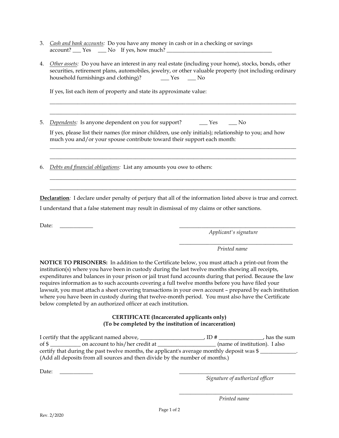- 3. *Cash and bank accounts:* Do you have any money in cash or in a checking or savings  $account?$   $Yes$   $No$  If yes, how much?  $One$
- 4. *Other assets:* Do you have an interest in any real estate (including your home), stocks, bonds, other securities, retirement plans, automobiles, jewelry, or other valuable property (not including ordinary household furnishings and clothing)?  $\qquad \qquad$  Yes  $\qquad \qquad$  No

\_\_\_\_\_\_\_\_\_\_\_\_\_\_\_\_\_\_\_\_\_\_\_\_\_\_\_\_\_\_\_\_\_\_\_\_\_\_\_\_\_\_\_\_\_\_\_\_\_\_\_\_\_\_\_\_\_\_\_\_\_\_\_\_\_\_\_\_\_\_\_\_\_\_\_\_\_\_\_\_\_\_\_\_\_\_\_\_\_ \_\_\_\_\_\_\_\_\_\_\_\_\_\_\_\_\_\_\_\_\_\_\_\_\_\_\_\_\_\_\_\_\_\_\_\_\_\_\_\_\_\_\_\_\_\_\_\_\_\_\_\_\_\_\_\_\_\_\_\_\_\_\_\_\_\_\_\_\_\_\_\_\_\_\_\_\_\_\_\_\_\_\_\_\_\_\_\_\_

If yes, list each item of property and state its approximate value:

5. *Dependents:* Is anyone dependent on you for support?  $\qquad \qquad \text{Yes} \qquad \text{No}$ 

If yes, please list their names (for minor children, use only initials); relationship to you; and how much you and/or your spouse contribute toward their support each month:

\_\_\_\_\_\_\_\_\_\_\_\_\_\_\_\_\_\_\_\_\_\_\_\_\_\_\_\_\_\_\_\_\_\_\_\_\_\_\_\_\_\_\_\_\_\_\_\_\_\_\_\_\_\_\_\_\_\_\_\_\_\_\_\_\_\_\_\_\_\_\_\_\_\_\_\_\_\_\_\_\_\_\_\_\_\_\_\_\_ \_\_\_\_\_\_\_\_\_\_\_\_\_\_\_\_\_\_\_\_\_\_\_\_\_\_\_\_\_\_\_\_\_\_\_\_\_\_\_\_\_\_\_\_\_\_\_\_\_\_\_\_\_\_\_\_\_\_\_\_\_\_\_\_\_\_\_\_\_\_\_\_\_\_\_\_\_\_\_\_\_\_\_\_\_\_\_\_\_

\_\_\_\_\_\_\_\_\_\_\_\_\_\_\_\_\_\_\_\_\_\_\_\_\_\_\_\_\_\_\_\_\_\_\_\_\_\_\_\_\_\_\_\_\_\_\_\_\_\_\_\_\_\_\_\_\_\_\_\_\_\_\_\_\_\_\_\_\_\_\_\_\_\_\_\_\_\_\_\_\_\_\_\_\_\_\_\_\_ \_\_\_\_\_\_\_\_\_\_\_\_\_\_\_\_\_\_\_\_\_\_\_\_\_\_\_\_\_\_\_\_\_\_\_\_\_\_\_\_\_\_\_\_\_\_\_\_\_\_\_\_\_\_\_\_\_\_\_\_\_\_\_\_\_\_\_\_\_\_\_\_\_\_\_\_\_\_\_\_\_\_\_\_\_\_\_\_\_

6. *Debts and financial obligations:* List any amounts you owe to others:

**Declaration***:* I declare under penalty of perjury that all of the information listed above is true and correct. I understand that a false statement may result in dismissal of my claims or other sanctions.

Date: \_\_\_\_\_\_\_\_\_\_\_\_ \_\_\_\_\_\_\_\_\_\_\_\_\_\_\_\_\_\_\_\_\_\_\_\_\_\_\_\_\_\_\_\_\_\_\_\_\_\_\_\_\_\_

*Applicant's signature*

\_\_\_\_\_\_\_\_\_\_\_\_\_\_\_\_\_\_\_\_\_\_\_\_\_\_\_\_\_\_\_\_\_\_\_\_\_\_\_\_\_ *Printed name*

**NOTICE TO PRISONERS:** In addition to the Certificate below, you must attach a print-out from the institution(s) where you have been in custody during the last twelve months showing all receipts, expenditures and balances in your prison or jail trust fund accounts during that period. Because the law requires information as to such accounts covering a full twelve months before you have filed your lawsuit, you must attach a sheet covering transactions in your own account – prepared by each institution where you have been in custody during that twelve-month period. You must also have the Certificate below completed by an authorized officer at each institution.

#### **CERTIFICATE (Incarcerated applicants only) (To be completed by the institution of incarceration)**

|                                                                                                       | I certify that the applicant named above,                                    | ID# | , has the sum                 |
|-------------------------------------------------------------------------------------------------------|------------------------------------------------------------------------------|-----|-------------------------------|
| of \$                                                                                                 | on account to his/her credit at                                              |     | (name of institution). I also |
| certify that during the past twelve months, the applicant's average monthly deposit was $\frac{1}{2}$ |                                                                              |     |                               |
|                                                                                                       | (Add all deposits from all sources and then divide by the number of months.) |     |                               |

Date: \_\_\_\_\_\_\_\_\_\_\_\_ \_\_\_\_\_\_\_\_\_\_\_\_\_\_\_\_\_\_\_\_\_\_\_\_\_\_\_\_\_\_\_\_\_\_\_\_\_\_\_\_\_\_

 *Signature of authorized officer*

\_\_\_\_\_\_\_\_\_\_\_\_\_\_\_\_\_\_\_\_\_\_\_\_\_\_\_\_\_\_\_\_\_\_\_\_\_\_\_\_\_ *Printed name*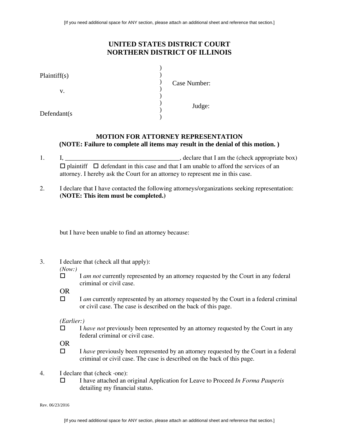## **UNITED STATES DISTRICT COURT NORTHERN DISTRICT OF ILLINOIS**

| Plaintiff(s) |              |
|--------------|--------------|
|              | Case Number: |
| v.           |              |
|              | Judge:       |
| Defendant(s) |              |

### **MOTION FOR ATTORNEY REPRESENTATION (NOTE: Failure to complete all items may result in the denial of this motion. )**

- 1. I, \_\_\_\_\_\_\_\_\_\_\_\_\_\_\_\_\_\_\_\_\_\_\_\_\_\_\_\_\_\_\_\_\_\_\_\_, declare that I am the (check appropriate box)  $\Box$  plaintiff  $\Box$  defendant in this case and that I am unable to afford the services of an attorney. I hereby ask the Court for an attorney to represent me in this case.
- 2. I declare that I have contacted the following attorneys/organizations seeking representation: **(NOTE: This item must be completed.)**

but I have been unable to find an attorney because:

3. I declare that (check all that apply):

*(Now:)*

□ I *am not* currently represented by an attorney requested by the Court in any federal criminal or civil case.

OR

□ I *am* currently represented by an attorney requested by the Court in a federal criminal or civil case. The case is described on the back of this page.

*(Earlier:)* 

□ *I have not* previously been represented by an attorney requested by the Court in any federal criminal or civil case.

OR

- □ *I have* previously been represented by an attorney requested by the Court in a federal criminal or civil case. The case is described on the back of this page.
- 4. I declare that (check ·one):
	- I have attached an original Application for Leave to Proceed *In Forma Pauperis* detailing my financial status.

Rev. 06/23/2016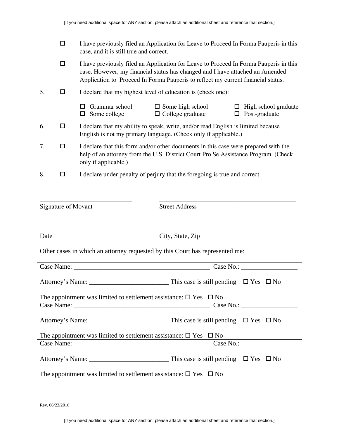|    | □      | I have previously filed an Application for Leave to Proceed In Forma Pauperis in this<br>case, and it is still true and correct.                                                                                                                           |                                                                                                                                                      |                                       |
|----|--------|------------------------------------------------------------------------------------------------------------------------------------------------------------------------------------------------------------------------------------------------------------|------------------------------------------------------------------------------------------------------------------------------------------------------|---------------------------------------|
|    | $\Box$ | I have previously filed an Application for Leave to Proceed In Forma Pauperis in this<br>case. However, my financial status has changed and I have attached an Amended<br>Application to Proceed In Forma Pauperis to reflect my current financial status. |                                                                                                                                                      |                                       |
| 5. | □      | I declare that my highest level of education is (check one):                                                                                                                                                                                               |                                                                                                                                                      |                                       |
|    |        | Grammar school<br>Some college<br>⊔                                                                                                                                                                                                                        | Some high school<br>$\Box$ College graduate                                                                                                          | High school graduate<br>Post-graduate |
| 6. | □      |                                                                                                                                                                                                                                                            | I declare that my ability to speak, write, and/or read English is limited because<br>English is not my primary language. (Check only if applicable.) |                                       |
| 7. | п      | I declare that this form and/or other documents in this case were prepared with the<br>help of an attorney from the U.S. District Court Pro Se Assistance Program. (Check<br>only if applicable.)                                                          |                                                                                                                                                      |                                       |
| 8. | □      |                                                                                                                                                                                                                                                            | I declare under penalty of perjury that the foregoing is true and correct.                                                                           |                                       |
|    |        |                                                                                                                                                                                                                                                            |                                                                                                                                                      |                                       |

Signature of Movant Street Address

Date City, State, Zip

\_\_\_\_\_\_\_\_\_\_\_\_\_\_\_\_\_\_\_\_\_\_\_\_\_\_\_\_\_ \_\_\_\_\_\_\_\_\_\_\_\_\_\_\_\_\_\_\_\_\_\_\_\_\_\_\_\_\_\_\_\_\_\_\_\_\_\_\_\_\_\_\_

Other cases in which an attorney requested by this Court has represented me:

|                                                                                  | Case No.: |
|----------------------------------------------------------------------------------|-----------|
|                                                                                  |           |
| The appointment was limited to settlement assistance: $\square$ Yes $\square$ No |           |
|                                                                                  |           |
|                                                                                  |           |
| The appointment was limited to settlement assistance: $\square$ Yes $\square$ No |           |
|                                                                                  |           |
|                                                                                  |           |
| The appointment was limited to settlement assistance: $\square$ Yes $\square$ No |           |

Rev. 06/23/2016